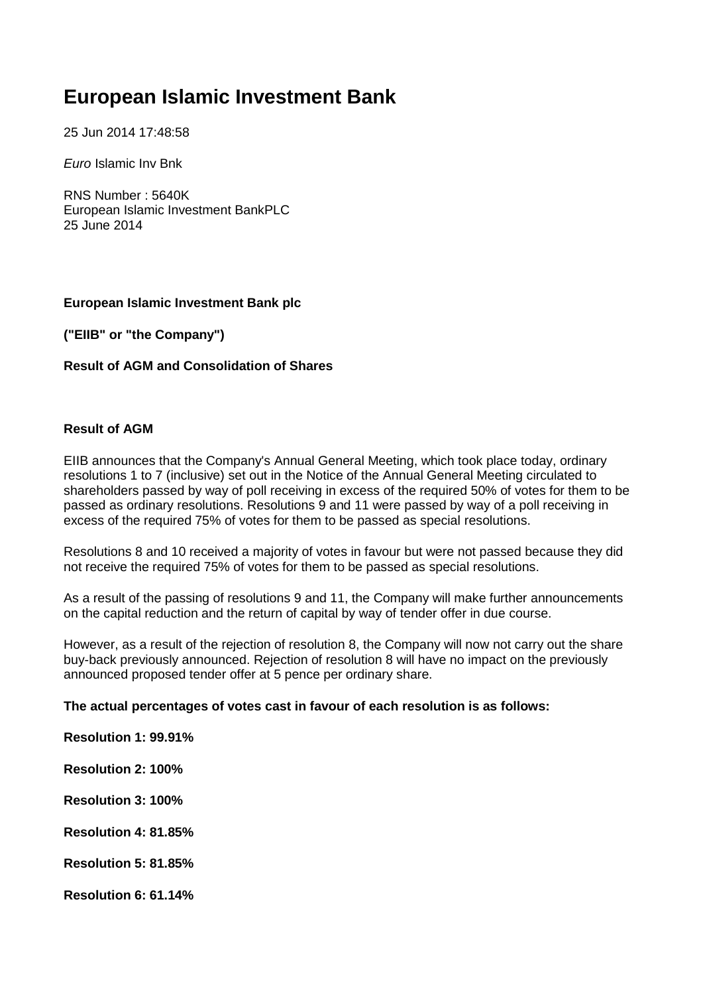# **European Islamic Investment Bank**

25 Jun 2014 17:48:58

*Euro* Islamic Inv Bnk

RNS Number : 5640K European Islamic Investment BankPLC 25 June 2014

#### **European Islamic Investment Bank plc**

**("EIIB" or "the Company")**

#### **Result of AGM and Consolidation of Shares**

#### **Result of AGM**

EIIB announces that the Company's Annual General Meeting, which took place today, ordinary resolutions 1 to 7 (inclusive) set out in the Notice of the Annual General Meeting circulated to shareholders passed by way of poll receiving in excess of the required 50% of votes for them to be passed as ordinary resolutions. Resolutions 9 and 11 were passed by way of a poll receiving in excess of the required 75% of votes for them to be passed as special resolutions.

Resolutions 8 and 10 received a majority of votes in favour but were not passed because they did not receive the required 75% of votes for them to be passed as special resolutions.

As a result of the passing of resolutions 9 and 11, the Company will make further announcements on the capital reduction and the return of capital by way of tender offer in due course.

However, as a result of the rejection of resolution 8, the Company will now not carry out the share buy-back previously announced. Rejection of resolution 8 will have no impact on the previously announced proposed tender offer at 5 pence per ordinary share.

#### **The actual percentages of votes cast in favour of each resolution is as follows:**

**Resolution 1: 99.91%** 

- **Resolution 2: 100%**
- **Resolution 3: 100%**
- **Resolution 4: 81.85%**
- **Resolution 5: 81.85%**
- **Resolution 6: 61.14%**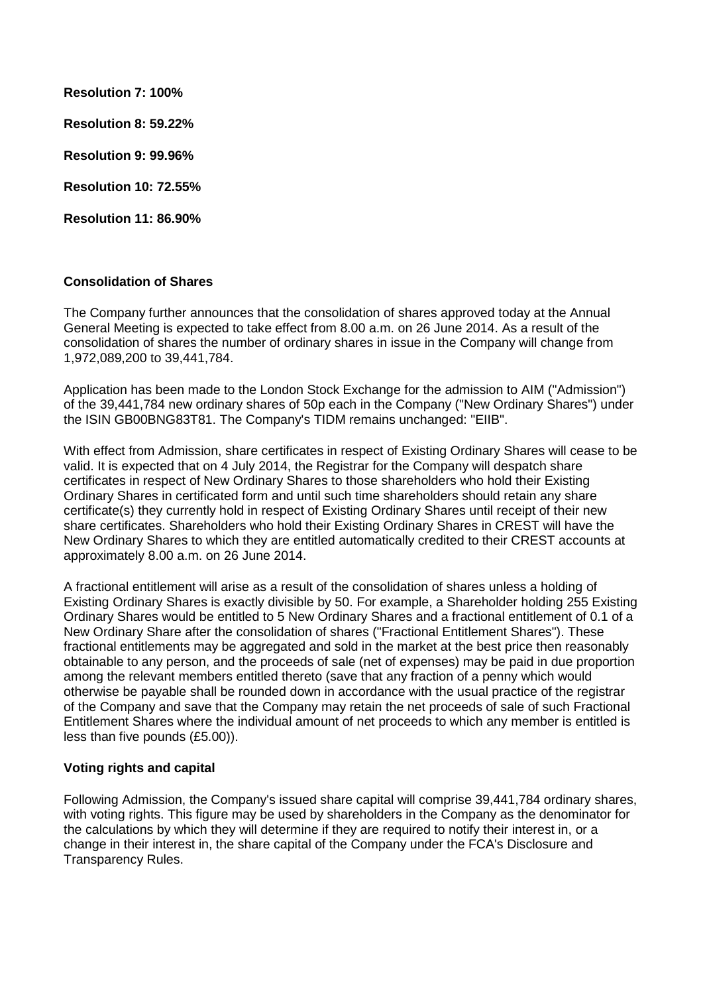**Resolution 7: 100% Resolution 8: 59.22% Resolution 9: 99.96% Resolution 10: 72.55%**

**Resolution 11: 86.90%**

## **Consolidation of Shares**

The Company further announces that the consolidation of shares approved today at the Annual General Meeting is expected to take effect from 8.00 a.m. on 26 June 2014. As a result of the consolidation of shares the number of ordinary shares in issue in the Company will change from 1,972,089,200 to 39,441,784.

Application has been made to the London Stock Exchange for the admission to AIM ("Admission") of the 39,441,784 new ordinary shares of 50p each in the Company ("New Ordinary Shares") under the ISIN GB00BNG83T81. The Company's TIDM remains unchanged: "EIIB".

With effect from Admission, share certificates in respect of Existing Ordinary Shares will cease to be valid. It is expected that on 4 July 2014, the Registrar for the Company will despatch share certificates in respect of New Ordinary Shares to those shareholders who hold their Existing Ordinary Shares in certificated form and until such time shareholders should retain any share certificate(s) they currently hold in respect of Existing Ordinary Shares until receipt of their new share certificates. Shareholders who hold their Existing Ordinary Shares in CREST will have the New Ordinary Shares to which they are entitled automatically credited to their CREST accounts at approximately 8.00 a.m. on 26 June 2014.

A fractional entitlement will arise as a result of the consolidation of shares unless a holding of Existing Ordinary Shares is exactly divisible by 50. For example, a Shareholder holding 255 Existing Ordinary Shares would be entitled to 5 New Ordinary Shares and a fractional entitlement of 0.1 of a New Ordinary Share after the consolidation of shares ("Fractional Entitlement Shares"). These fractional entitlements may be aggregated and sold in the market at the best price then reasonably obtainable to any person, and the proceeds of sale (net of expenses) may be paid in due proportion among the relevant members entitled thereto (save that any fraction of a penny which would otherwise be payable shall be rounded down in accordance with the usual practice of the registrar of the Company and save that the Company may retain the net proceeds of sale of such Fractional Entitlement Shares where the individual amount of net proceeds to which any member is entitled is less than five pounds (£5.00)).

### **Voting rights and capital**

Following Admission, the Company's issued share capital will comprise 39,441,784 ordinary shares, with voting rights. This figure may be used by shareholders in the Company as the denominator for the calculations by which they will determine if they are required to notify their interest in, or a change in their interest in, the share capital of the Company under the FCA's Disclosure and Transparency Rules.